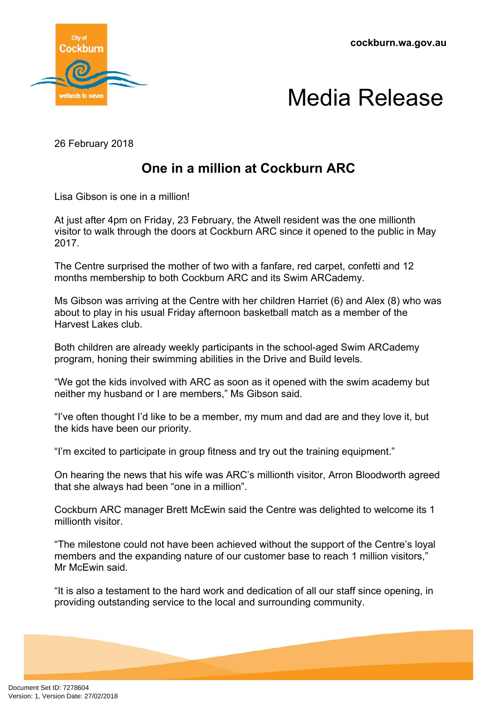**cockburn.wa.gov.au**





26 February 2018

## **One in a million at Cockburn ARC**

Lisa Gibson is one in a million!

At just after 4pm on Friday, 23 February, the Atwell resident was the one millionth visitor to walk through the doors at Cockburn ARC since it opened to the public in May 2017.

The Centre surprised the mother of two with a fanfare, red carpet, confetti and 12 months membership to both Cockburn ARC and its Swim ARCademy.

Ms Gibson was arriving at the Centre with her children Harriet (6) and Alex (8) who was about to play in his usual Friday afternoon basketball match as a member of the Harvest Lakes club.

Both children are already weekly participants in the school-aged Swim ARCademy program, honing their swimming abilities in the Drive and Build levels.

"We got the kids involved with ARC as soon as it opened with the swim academy but neither my husband or I are members," Ms Gibson said.

"I've often thought I'd like to be a member, my mum and dad are and they love it, but the kids have been our priority.

"I'm excited to participate in group fitness and try out the training equipment."

On hearing the news that his wife was ARC's millionth visitor, Arron Bloodworth agreed that she always had been "one in a million".

Cockburn ARC manager Brett McEwin said the Centre was delighted to welcome its 1 millionth visitor.

"The milestone could not have been achieved without the support of the Centre's loyal members and the expanding nature of our customer base to reach 1 million visitors," Mr McEwin said.

"It is also a testament to the hard work and dedication of all our staff since opening, in providing outstanding service to the local and surrounding community.

Document Set ID: 7278604<br>Version: 1, Version Date: 27/02/2018